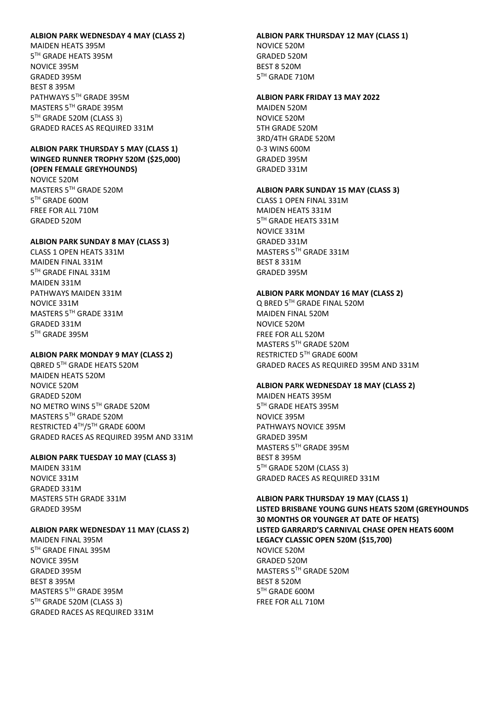## **ALBION PARK WEDNESDAY 4 MAY (CLASS 2)**

MAIDEN HEATS 395M 5 TH GRADE HEATS 395M NOVICE 395M GRADED 395M BEST 8 395M PATHWAYS 5TH GRADE 395M MASTERS 5TH GRADE 395M 5 TH GRADE 520M (CLASS 3) GRADED RACES AS REQUIRED 331M

# **ALBION PARK THURSDAY 5 MAY (CLASS 1) WINGED RUNNER TROPHY 520M (\$25,000) (OPEN FEMALE GREYHOUNDS)**

NOVICE 520M MASTERS 5TH GRADE 520M 5 TH GRADE 600M FREE FOR ALL 710M GRADED 520M

## **ALBION PARK SUNDAY 8 MAY (CLASS 3)**

CLASS 1 OPEN HEATS 331M MAIDEN FINAL 331M 5 TH GRADE FINAL 331M MAIDEN 331M PATHWAYS MAIDEN 331M NOVICE 331M MASTERS 5TH GRADE 331M GRADED 331M 5 TH GRADE 395M

# **ALBION PARK MONDAY 9 MAY (CLASS 2)**

QBRED 5 TH GRADE HEATS 520M MAIDEN HEATS 520M NOVICE 520M GRADED 520M NO METRO WINS 5TH GRADE 520M MASTERS 5TH GRADE 520M RESTRICTED 4TH/5TH GRADE 600M GRADED RACES AS REQUIRED 395M AND 331M

# **ALBION PARK TUESDAY 10 MAY (CLASS 3)**

MAIDEN 331M NOVICE 331M GRADED 331M MASTERS 5TH GRADE 331M GRADED 395M

## **ALBION PARK WEDNESDAY 11 MAY (CLASS 2)**

MAIDEN FINAL 395M 5 TH GRADE FINAL 395M NOVICE 395M GRADED 395M BEST 8 395M MASTERS 5TH GRADE 395M 5 TH GRADE 520M (CLASS 3) GRADED RACES AS REQUIRED 331M

# **ALBION PARK THURSDAY 12 MAY (CLASS 1)** NOVICE 520M GRADED 520M BEST 8 520M 5 TH GRADE 710M

## **ALBION PARK FRIDAY 13 MAY 2022**

MAIDEN 520M NOVICE 520M 5TH GRADE 520M 3RD/4TH GRADE 520M 0-3 WINS 600M GRADED 395M GRADED 331M

# **ALBION PARK SUNDAY 15 MAY (CLASS 3)**

CLASS 1 OPEN FINAL 331M MAIDEN HEATS 331M 5 TH GRADE HEATS 331M NOVICE 331M GRADED 331M MASTERS 5TH GRADE 331M BEST 8 331M GRADED 395M

## **ALBION PARK MONDAY 16 MAY (CLASS 2)**

Q BRED 5 TH GRADE FINAL 520M MAIDEN FINAL 520M NOVICE 520M FREE FOR ALL 520M MASTERS 5TH GRADE 520M RESTRICTED 5TH GRADE 600M GRADED RACES AS REQUIRED 395M AND 331M

#### **ALBION PARK WEDNESDAY 18 MAY (CLASS 2)**

MAIDEN HEATS 395M 5 TH GRADE HEATS 395M NOVICE 395M PATHWAYS NOVICE 395M GRADED 395M MASTERS 5TH GRADE 395M BEST 8 395M 5 TH GRADE 520M (CLASS 3) GRADED RACES AS REQUIRED 331M

#### **ALBION PARK THURSDAY 19 MAY (CLASS 1)**

**LISTED BRISBANE YOUNG GUNS HEATS 520M (GREYHOUNDS 30 MONTHS OR YOUNGER AT DATE OF HEATS) LISTED GARRARD'S CARNIVAL CHASE OPEN HEATS 600M LEGACY CLASSIC OPEN 520M (\$15,700)** NOVICE 520M GRADED 520M MASTERS 5TH GRADE 520M BEST 8 520M 5 TH GRADE 600M FREE FOR ALL 710M